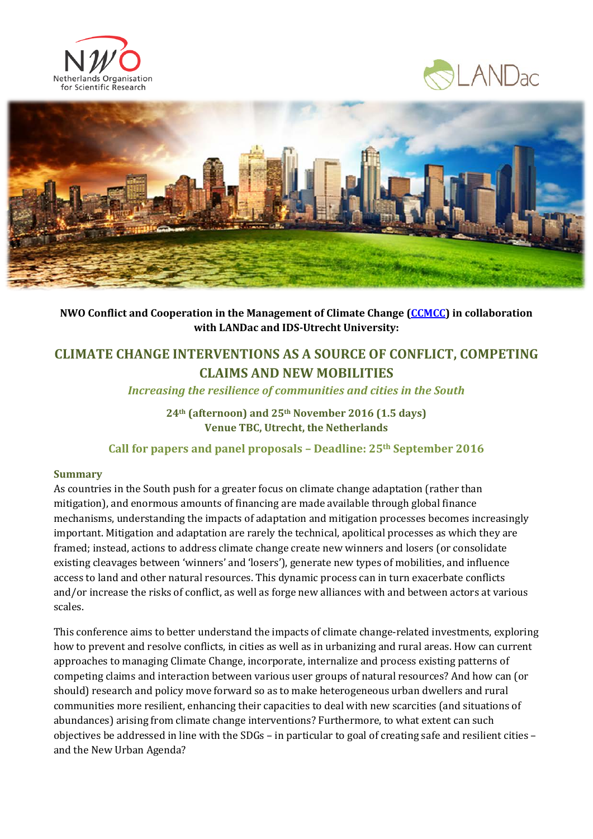





**NWO Conflict and Cooperation in the Management of Climate Change [\(CCMCC\)](http://www.nwo.nl/en/research-and-results/programmes/Conflict+and+Cooperation+over+Natural+Resources+in+Developing+Countries+(CoCooN)/Research+projects) in collaboration with LANDac and IDS-Utrecht University:**

# **CLIMATE CHANGE INTERVENTIONS AS A SOURCE OF CONFLICT, COMPETING CLAIMS AND NEW MOBILITIES**

*Increasing the resilience of communities and cities in the South*

**24th (afternoon) and 25th November 2016 (1.5 days) Venue TBC, Utrecht, the Netherlands**

**Call for papers and panel proposals – Deadline: 25th September 2016**

# **Summary**

As countries in the South push for a greater focus on climate change adaptation (rather than mitigation), and enormous amounts of financing are made available through global finance mechanisms, understanding the impacts of adaptation and mitigation processes becomes increasingly important. Mitigation and adaptation are rarely the technical, apolitical processes as which they are framed; instead, actions to address climate change create new winners and losers (or consolidate existing cleavages between 'winners' and 'losers'), generate new types of mobilities, and influence access to land and other natural resources. This dynamic process can in turn exacerbate conflicts and/or increase the risks of conflict, as well as forge new alliances with and between actors at various scales.

This conference aims to better understand the impacts of climate change-related investments, exploring how to prevent and resolve conflicts, in cities as well as in urbanizing and rural areas. How can current approaches to managing Climate Change, incorporate, internalize and process existing patterns of competing claims and interaction between various user groups of natural resources? And how can (or should) research and policy move forward so as to make heterogeneous urban dwellers and rural communities more resilient, enhancing their capacities to deal with new scarcities (and situations of abundances) arising from climate change interventions? Furthermore, to what extent can such objectives be addressed in line with the SDGs – in particular to goal of creating safe and resilient cities – and the New Urban Agenda?